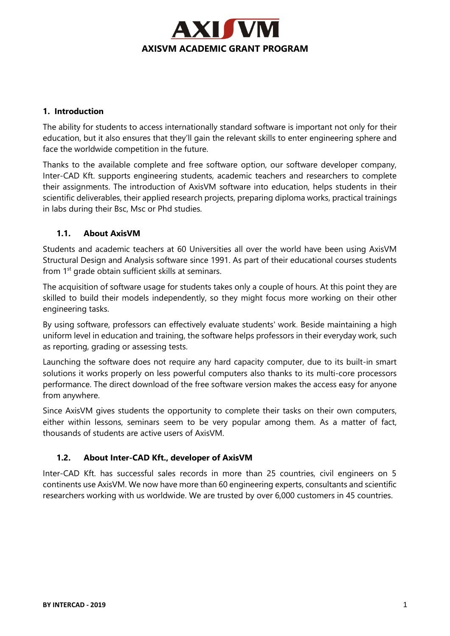

#### **1. Introduction**

The ability for students to access internationally standard software is important not only for their education, but it also ensures that they'll gain the relevant skills to enter engineering sphere and face the worldwide competition in the future.

Thanks to the available complete and free software option, our software developer company, Inter-CAD Kft. supports engineering students, academic teachers and researchers to complete their assignments. The introduction of AxisVM software into education, helps students in their scientific deliverables, their applied research projects, preparing diploma works, practical trainings in labs during their Bsc, Msc or Phd studies.

### **1.1. About AxisVM**

Students and academic teachers at 60 Universities all over the world have been using AxisVM Structural Design and Analysis software since 1991. As part of their educational courses students from 1<sup>st</sup> grade obtain sufficient skills at seminars.

The acquisition of software usage for students takes only a couple of hours. At this point they are skilled to build their models independently, so they might focus more working on their other engineering tasks.

By using software, professors can effectively evaluate students' work. Beside maintaining a high uniform level in education and training, the software helps professors in their everyday work, such as reporting, grading or assessing tests.

Launching the software does not require any hard capacity computer, due to its built-in smart solutions it works properly on less powerful computers also thanks to its multi-core processors performance. The direct download of the free software version makes the access easy for anyone from anywhere.

Since AxisVM gives students the opportunity to complete their tasks on their own computers, either within lessons, seminars seem to be very popular among them. As a matter of fact, thousands of students are active users of AxisVM.

## **1.2. About Inter-CAD Kft., developer of AxisVM**

Inter-CAD Kft. has successful sales records in more than 25 countries, civil engineers on 5 continents use AxisVM. We now have more than 60 engineering experts, consultants and scientific researchers working with us worldwide. We are trusted by over 6,000 customers in 45 countries.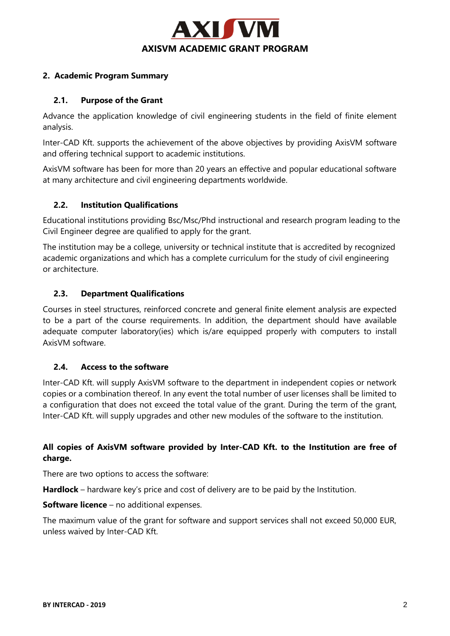

# **2. Academic Program Summary**

# **2.1. Purpose of the Grant**

Advance the application knowledge of civil engineering students in the field of finite element analysis.

Inter-CAD Kft. supports the achievement of the above objectives by providing AxisVM software and offering technical support to academic institutions.

AxisVM software has been for more than 20 years an effective and popular educational software at many architecture and civil engineering departments worldwide.

# **2.2. Institution Qualifications**

Educational institutions providing Bsc/Msc/Phd instructional and research program leading to the Civil Engineer degree are qualified to apply for the grant.

The institution may be a college, university or technical institute that is accredited by recognized academic organizations and which has a complete curriculum for the study of civil engineering or architecture.

## **2.3. Department Qualifications**

Courses in steel structures, reinforced concrete and general finite element analysis are expected to be a part of the course requirements. In addition, the department should have available adequate computer laboratory(ies) which is/are equipped properly with computers to install AxisVM software.

## **2.4. Access to the software**

Inter-CAD Kft. will supply AxisVM software to the department in independent copies or network copies or a combination thereof. In any event the total number of user licenses shall be limited to a configuration that does not exceed the total value of the grant. During the term of the grant, Inter-CAD Kft. will supply upgrades and other new modules of the software to the institution.

# **All copies of AxisVM software provided by Inter-CAD Kft. to the Institution are free of charge.**

There are two options to access the software:

**Hardlock** – hardware key's price and cost of delivery are to be paid by the Institution.

**Software licence** – no additional expenses.

The maximum value of the grant for software and support services shall not exceed 50,000 EUR, unless waived by Inter-CAD Kft.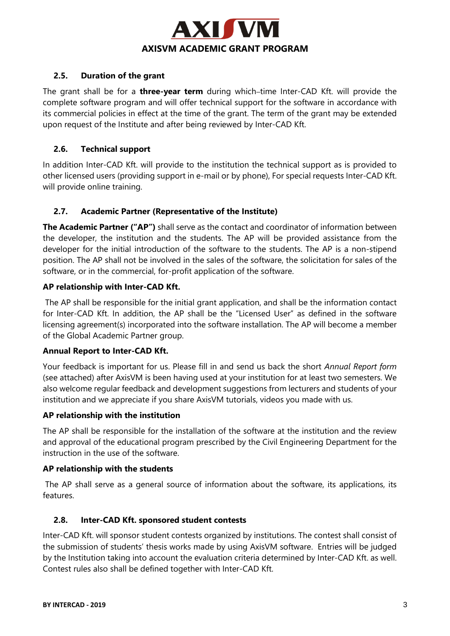

## **2.5. Duration of the grant**

The grant shall be for a **three-year term** during which-time Inter-CAD Kft. will provide the complete software program and will offer technical support for the software in accordance with its commercial policies in effect at the time of the grant. The term of the grant may be extended upon request of the Institute and after being reviewed by Inter-CAD Kft.

### **2.6. Technical support**

In addition Inter-CAD Kft. will provide to the institution the technical support as is provided to other licensed users (providing support in e-mail or by phone), For special requests Inter-CAD Kft. will provide online training.

### **2.7. Academic Partner (Representative of the Institute)**

**The Academic Partner ("AP")** shall serve as the contact and coordinator of information between the developer, the institution and the students. The AP will be provided assistance from the developer for the initial introduction of the software to the students. The AP is a non-stipend position. The AP shall not be involved in the sales of the software, the solicitation for sales of the software, or in the commercial, for-profit application of the software.

#### **AP relationship with Inter-CAD Kft.**

The AP shall be responsible for the initial grant application, and shall be the information contact for Inter-CAD Kft. In addition, the AP shall be the "Licensed User" as defined in the software licensing agreement(s) incorporated into the software installation. The AP will become a member of the Global Academic Partner group.

#### **Annual Report to Inter-CAD Kft.**

Your feedback is important for us. Please fill in and send us back the short *Annual Report form* (see attached) after AxisVM is been having used at your institution for at least two semesters. We also welcome regular feedback and development suggestions from lecturers and students of your institution and we appreciate if you share AxisVM tutorials, videos you made with us.

#### **AP relationship with the institution**

The AP shall be responsible for the installation of the software at the institution and the review and approval of the educational program prescribed by the Civil Engineering Department for the instruction in the use of the software.

#### **AP relationship with the students**

The AP shall serve as a general source of information about the software, its applications, its features.

#### **2.8. Inter-CAD Kft. sponsored student contests**

Inter-CAD Kft. will sponsor student contests organized by institutions. The contest shall consist of the submission of students' thesis works made by using AxisVM software. Entries will be judged by the Institution taking into account the evaluation criteria determined by Inter-CAD Kft. as well. Contest rules also shall be defined together with Inter-CAD Kft.